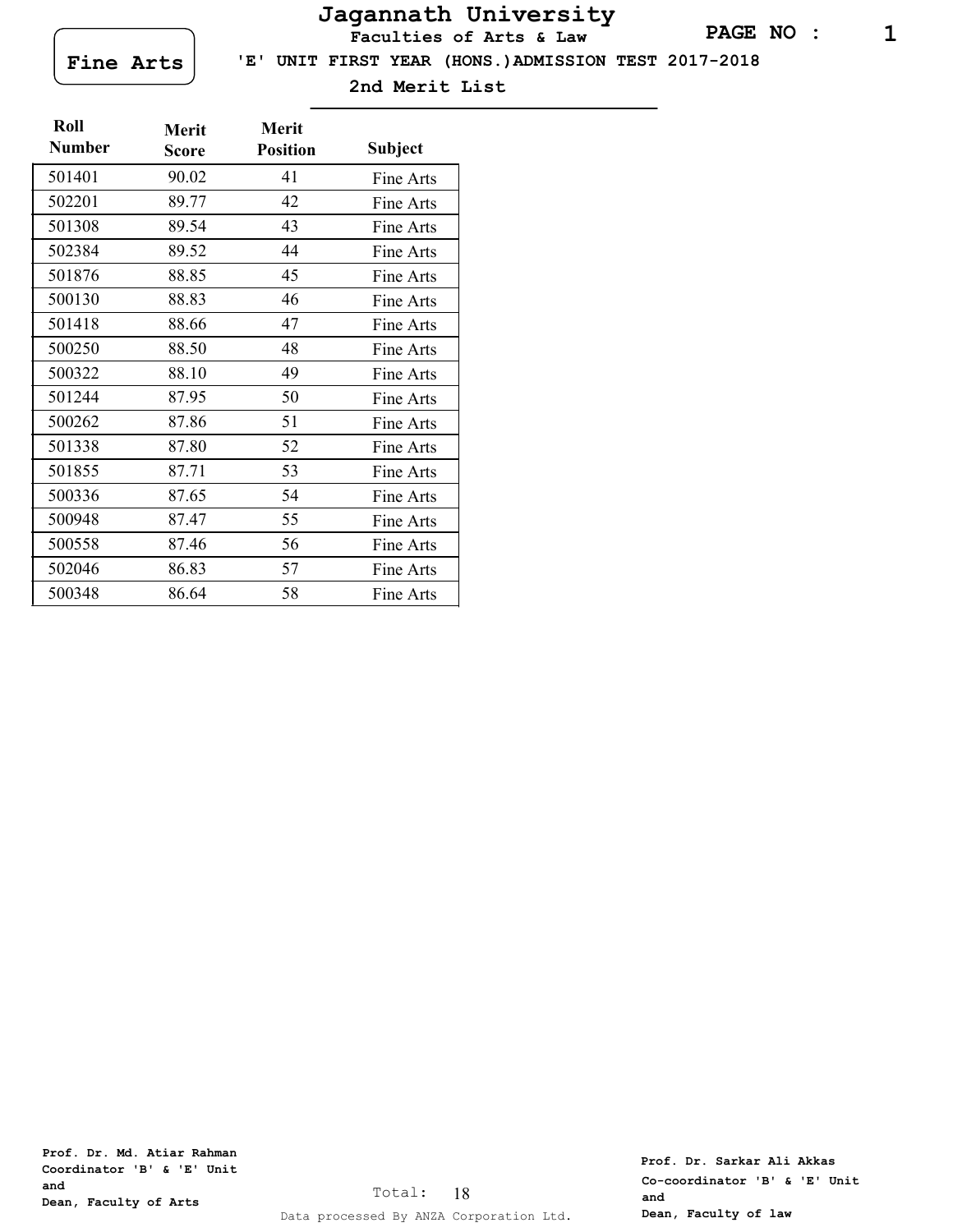# **Jagannath University**

**Faculties of Arts & Law**



 **'E' UNIT FIRST YEAR (HONS.)ADMISSION TEST 2017-2018**

**2nd Merit List**

| Roll<br><b>Number</b> | <b>Merit</b><br>Score | <b>Merit</b><br><b>Position</b> | Subject   |
|-----------------------|-----------------------|---------------------------------|-----------|
| 501401                | 90.02                 | 41                              | Fine Arts |
| 502201                | 89.77                 | 42                              | Fine Arts |
| 501308                | 89.54                 | 43                              | Fine Arts |
| 502384                | 89.52                 | 44                              | Fine Arts |
| 501876                | 88.85                 | 45                              | Fine Arts |
| 500130                | 88.83                 | 46                              | Fine Arts |
| 501418                | 88.66                 | 47                              | Fine Arts |
| 500250                | 88.50                 | 48                              | Fine Arts |
| 500322                | 88.10                 | 49                              | Fine Arts |
| 501244                | 87.95                 | 50                              | Fine Arts |
| 500262                | 87.86                 | 51                              | Fine Arts |
| 501338                | 87.80                 | 52                              | Fine Arts |
| 501855                | 87.71                 | 53                              | Fine Arts |
| 500336                | 87.65                 | 54                              | Fine Arts |
| 500948                | 87.47                 | 55                              | Fine Arts |
| 500558                | 87.46                 | 56                              | Fine Arts |
| 502046                | 86.83                 | 57                              | Fine Arts |
| 500348                | 86.64                 | 58                              | Fine Arts |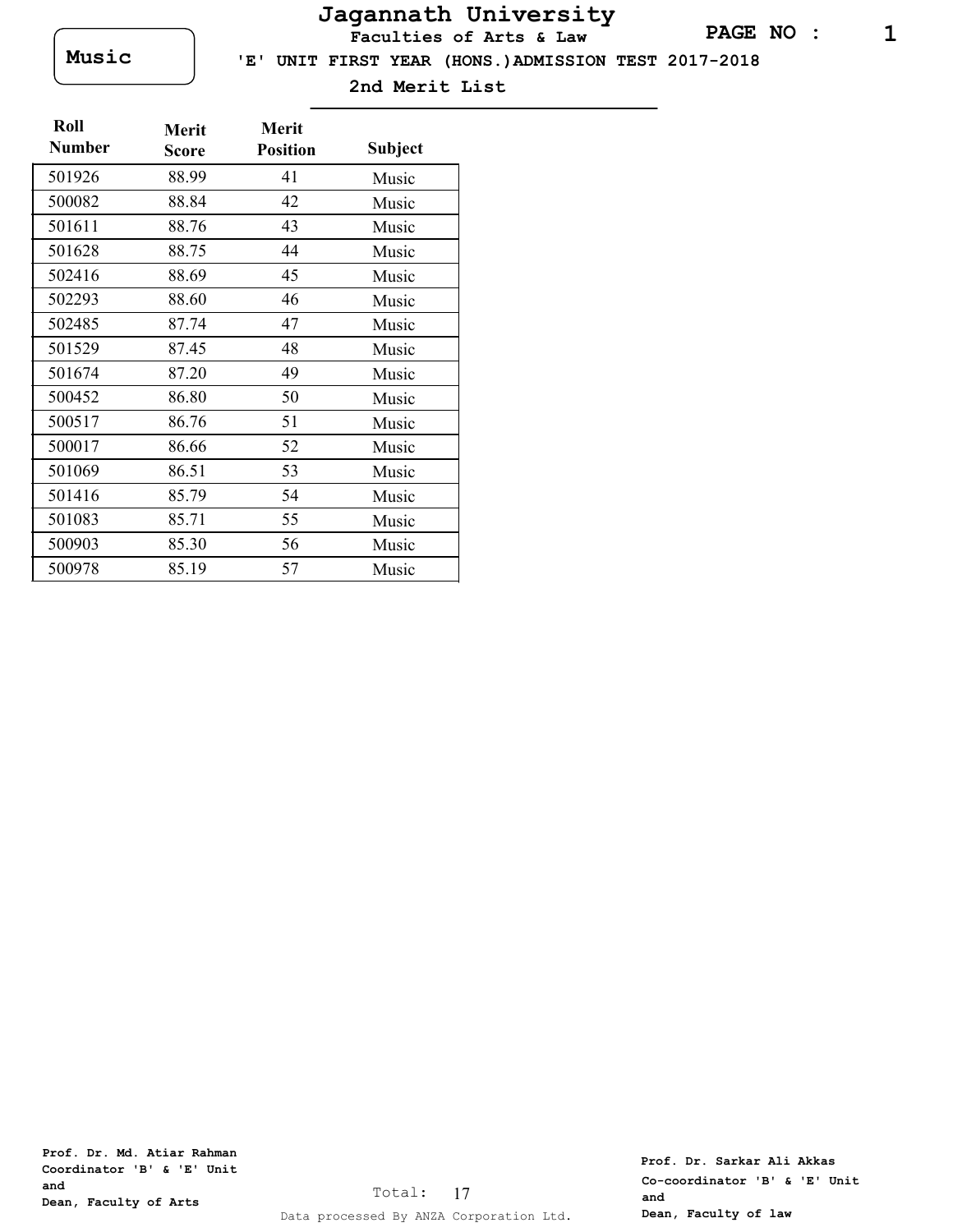# **Jagannath University**

**Faculties of Arts & Law**

**Music** 

 **'E' UNIT FIRST YEAR (HONS.)ADMISSION TEST 2017-2018**

**2nd Merit List**

| Roll<br><b>Number</b> | Merit<br><b>Score</b> | Merit<br><b>Position</b> | Subject |
|-----------------------|-----------------------|--------------------------|---------|
| 501926                | 88.99                 | 41                       | Music   |
| 500082                | 88.84                 | 42                       | Music   |
| 501611                | 88.76                 | 43                       | Music   |
| 501628                | 88.75                 | 44                       | Music   |
| 502416                | 88.69                 | 45                       | Music   |
| 502293                | 88.60                 | 46                       | Music   |
| 502485                | 87.74                 | 47                       | Music   |
| 501529                | 87.45                 | 48                       | Music   |
| 501674                | 87.20                 | 49                       | Music   |
| 500452                | 86.80                 | 50                       | Music   |
| 500517                | 86.76                 | 51                       | Music   |
| 500017                | 86.66                 | 52                       | Music   |
| 501069                | 86.51                 | 53                       | Music   |
| 501416                | 85.79                 | 54                       | Music   |
| 501083                | 85.71                 | 55                       | Music   |
| 500903                | 85.30                 | 56                       | Music   |
| 500978                | 85.19                 | 57                       | Music   |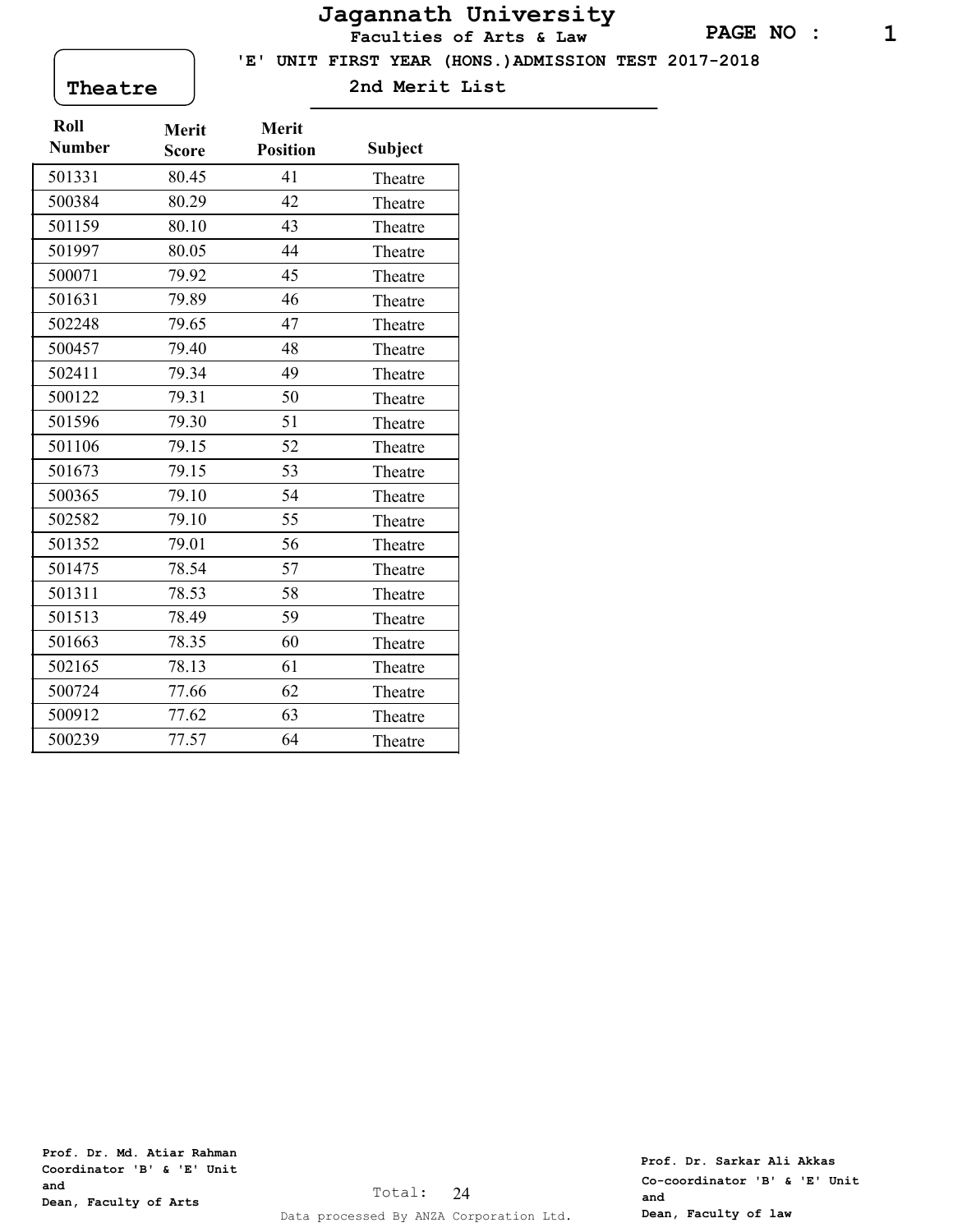# **Jagannath University**

**Faculties of Arts & Law**

 **'E' UNIT FIRST YEAR (HONS.)ADMISSION TEST 2017-2018**

**Theatre 2nd Merit List**

| Roll          | <b>Merit</b> | Merit           |                |
|---------------|--------------|-----------------|----------------|
| <b>Number</b> | Score        | <b>Position</b> | <b>Subject</b> |
| 501331        | 80.45        | 41              | Theatre        |
| 500384        | 80.29        | 42              | Theatre        |
| 501159        | 80.10        | 43              | Theatre        |
| 501997        | 80.05        | 44              | Theatre        |
| 500071        | 79.92        | 45              | Theatre        |
| 501631        | 79.89        | 46              | Theatre        |
| 502248        | 79.65        | 47              | Theatre        |
| 500457        | 79.40        | 48              | Theatre        |
| 502411        | 79.34        | 49              | Theatre        |
| 500122        | 79.31        | 50              | Theatre        |
| 501596        | 79.30        | 51              | Theatre        |
| 501106        | 79.15        | 52              | Theatre        |
| 501673        | 79.15        | 53              | Theatre        |
| 500365        | 79.10        | 54              | Theatre        |
| 502582        | 79.10        | 55              | Theatre        |
| 501352        | 79.01        | 56              | Theatre        |
| 501475        | 78.54        | 57              | Theatre        |
| 501311        | 78.53        | 58              | Theatre        |
| 501513        | 78.49        | 59              | Theatre        |
| 501663        | 78.35        | 60              | Theatre        |
| 502165        | 78.13        | 61              | Theatre        |
| 500724        | 77.66        | 62              | Theatre        |
| 500912        | 77.62        | 63              | Theatre        |
| 500239        | 77.57        | 64              | Theatre        |

**Prof. Dr. Md. Atiar Rahman Coordinator 'B' & 'E' Unit and Dean, Faculty of Arts**

**Prof. Dr. Sarkar Ali Akkas Co-coordinator 'B' & 'E' Unit and Dean, Faculty of law**